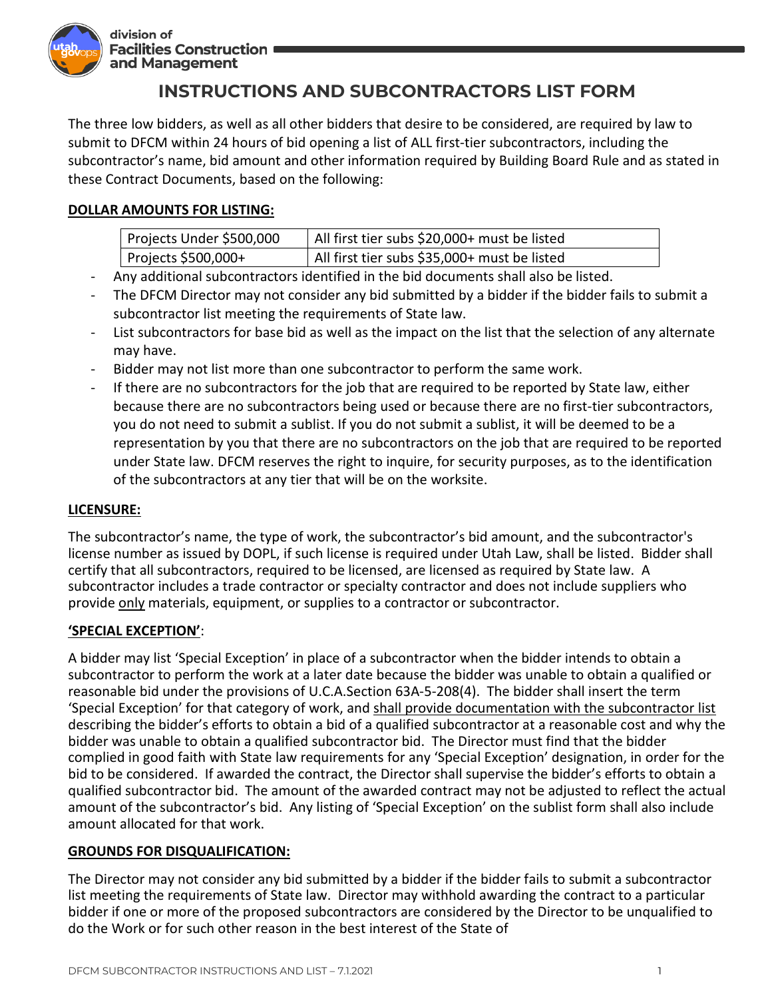

division of **Facilities Construction #** and Management

# **INSTRUCTIONS AND SUBCONTRACTORS LIST FORM**

The three low bidders, as well as all other bidders that desire to be considered, are required by law to submit to DFCM within 24 hours of bid opening a list of ALL first-tier subcontractors, including the subcontractor's name, bid amount and other information required by Building Board Rule and as stated in these Contract Documents, based on the following:

### **DOLLAR AMOUNTS FOR LISTING:**

| Projects Under \$500,000 | All first tier subs \$20,000+ must be listed |
|--------------------------|----------------------------------------------|
| Projects \$500,000+      | All first tier subs \$35,000+ must be listed |

- Any additional subcontractors identified in the bid documents shall also be listed.
- The DFCM Director may not consider any bid submitted by a bidder if the bidder fails to submit a subcontractor list meeting the requirements of State law.
- List subcontractors for base bid as well as the impact on the list that the selection of any alternate may have.
- Bidder may not list more than one subcontractor to perform the same work.
- If there are no subcontractors for the job that are required to be reported by State law, either because there are no subcontractors being used or because there are no first-tier subcontractors, you do not need to submit a sublist. If you do not submit a sublist, it will be deemed to be a representation by you that there are no subcontractors on the job that are required to be reported under State law. DFCM reserves the right to inquire, for security purposes, as to the identification of the subcontractors at any tier that will be on the worksite.

### **LICENSURE:**

The subcontractor's name, the type of work, the subcontractor's bid amount, and the subcontractor's license number as issued by DOPL, if such license is required under Utah Law, shall be listed. Bidder shall certify that all subcontractors, required to be licensed, are licensed as required by State law. A subcontractor includes a trade contractor or specialty contractor and does not include suppliers who provide only materials, equipment, or supplies to a contractor or subcontractor.

### **'SPECIAL EXCEPTION'**:

A bidder may list 'Special Exception' in place of a subcontractor when the bidder intends to obtain a subcontractor to perform the work at a later date because the bidder was unable to obtain a qualified or reasonable bid under the provisions of U.C.A.Section 63A-5-208(4). The bidder shall insert the term 'Special Exception' for that category of work, and shall provide documentation with the subcontractor list describing the bidder's efforts to obtain a bid of a qualified subcontractor at a reasonable cost and why the bidder was unable to obtain a qualified subcontractor bid. The Director must find that the bidder complied in good faith with State law requirements for any 'Special Exception' designation, in order for the bid to be considered. If awarded the contract, the Director shall supervise the bidder's efforts to obtain a qualified subcontractor bid. The amount of the awarded contract may not be adjusted to reflect the actual amount of the subcontractor's bid. Any listing of 'Special Exception' on the sublist form shall also include amount allocated for that work.

#### **GROUNDS FOR DISQUALIFICATION:**

The Director may not consider any bid submitted by a bidder if the bidder fails to submit a subcontractor list meeting the requirements of State law. Director may withhold awarding the contract to a particular bidder if one or more of the proposed subcontractors are considered by the Director to be unqualified to do the Work or for such other reason in the best interest of the State of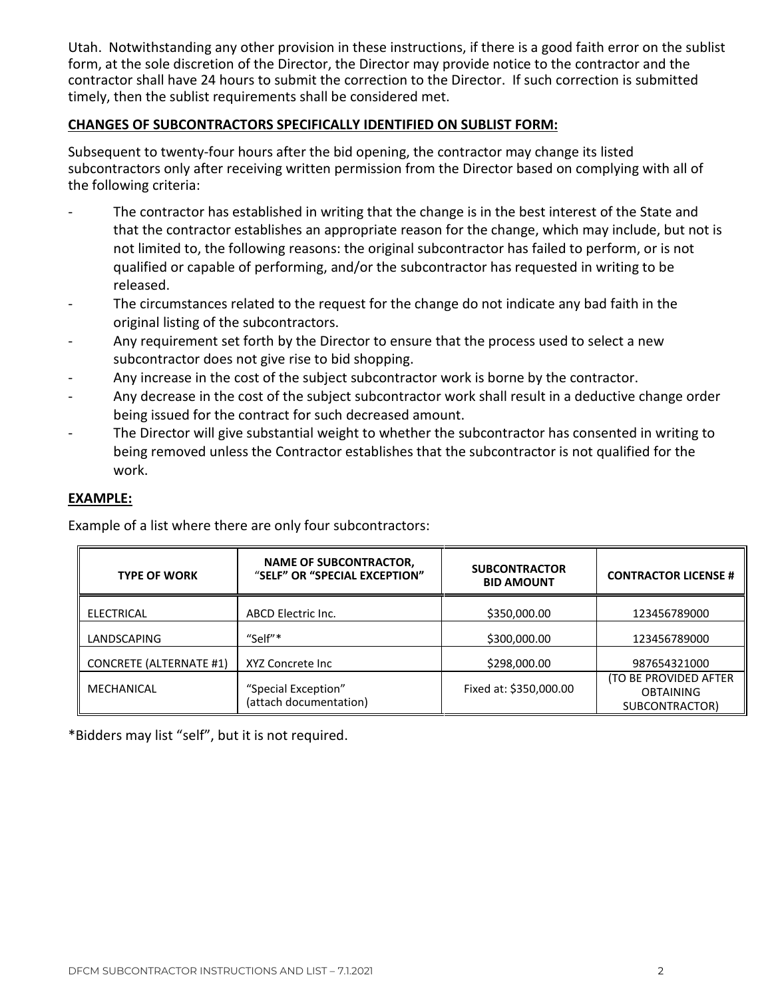Utah. Notwithstanding any other provision in these instructions, if there is a good faith error on the sublist form, at the sole discretion of the Director, the Director may provide notice to the contractor and the contractor shall have 24 hours to submit the correction to the Director. If such correction is submitted timely, then the sublist requirements shall be considered met.

#### **CHANGES OF SUBCONTRACTORS SPECIFICALLY IDENTIFIED ON SUBLIST FORM:**

Subsequent to twenty-four hours after the bid opening, the contractor may change its listed subcontractors only after receiving written permission from the Director based on complying with all of the following criteria:

- The contractor has established in writing that the change is in the best interest of the State and that the contractor establishes an appropriate reason for the change, which may include, but not is not limited to, the following reasons: the original subcontractor has failed to perform, or is not qualified or capable of performing, and/or the subcontractor has requested in writing to be released.
- The circumstances related to the request for the change do not indicate any bad faith in the original listing of the subcontractors.
- Any requirement set forth by the Director to ensure that the process used to select a new subcontractor does not give rise to bid shopping.
- Any increase in the cost of the subject subcontractor work is borne by the contractor.
- Any decrease in the cost of the subject subcontractor work shall result in a deductive change order being issued for the contract for such decreased amount.
- The Director will give substantial weight to whether the subcontractor has consented in writing to being removed unless the Contractor establishes that the subcontractor is not qualified for the work.

#### **EXAMPLE:**

Example of a list where there are only four subcontractors:

| <b>TYPE OF WORK</b>            | <b>NAME OF SUBCONTRACTOR,</b><br>"SELF" OR "SPECIAL EXCEPTION" | <b>SUBCONTRACTOR</b><br><b>BID AMOUNT</b> | <b>CONTRACTOR LICENSE #</b>                                 |
|--------------------------------|----------------------------------------------------------------|-------------------------------------------|-------------------------------------------------------------|
| <b>ELECTRICAL</b>              | ABCD Electric Inc.                                             | \$350,000.00                              | 123456789000                                                |
| LANDSCAPING                    | "Self"*                                                        | \$300,000.00                              | 123456789000                                                |
| <b>CONCRETE (ALTERNATE #1)</b> | XYZ Concrete Inc                                               | \$298,000.00                              | 987654321000                                                |
| MECHANICAL                     | "Special Exception"<br>(attach documentation)                  | Fixed at: \$350,000.00                    | (TO BE PROVIDED AFTER<br><b>OBTAINING</b><br>SUBCONTRACTOR) |

\*Bidders may list "self", but it is not required.